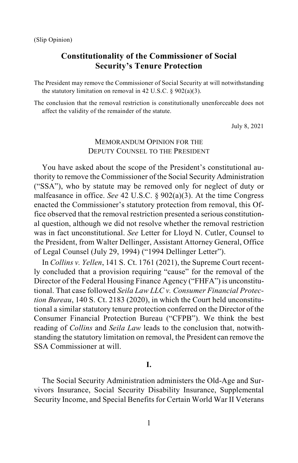# **Constitutionality of the Commissioner of Social Security's Tenure Protection**

The President may remove the Commissioner of Social Security at will notwithstanding the statutory limitation on removal in 42 U.S.C.  $\S 902(a)(3)$ .

The conclusion that the removal restriction is constitutionally unenforceable does not affect the validity of the remainder of the statute.

July 8, 2021

# MEMORANDUM OPINION FOR THE DEPUTY COUNSEL TO THE PRESIDENT

You have asked about the scope of the President's constitutional authority to remove the Commissioner of the Social Security Administration ("SSA"), who by statute may be removed only for neglect of duty or malfeasance in office. *See* 42 U.S.C. § 902(a)(3). At the time Congress enacted the Commissioner's statutory protection from removal, this Office observed that the removal restriction presented a serious constitutional question, although we did not resolve whether the removal restriction was in fact unconstitutional. *See* Letter for Lloyd N. Cutler, Counsel to the President, from Walter Dellinger, Assistant Attorney General, Office of Legal Counsel (July 29, 1994) ("1994 Dellinger Letter").

In *Collins v. Yellen*, 141 S. Ct. 1761 (2021), the Supreme Court recently concluded that a provision requiring "cause" for the removal of the Director of the Federal Housing Finance Agency ("FHFA") is unconstitutional. That case followed *Seila Law LLC v. Consumer Financial Protection Bureau*, 140 S. Ct. 2183 (2020), in which the Court held unconstitutional a similar statutory tenure protection conferred on the Director of the Consumer Financial Protection Bureau ("CFPB"). We think the best reading of *Collins* and *Seila Law* leads to the conclusion that, notwithstanding the statutory limitation on removal, the President can remove the SSA Commissioner at will.

## **I.**

The Social Security Administration administers the Old-Age and Survivors Insurance, Social Security Disability Insurance, Supplemental Security Income, and Special Benefits for Certain World War II Veterans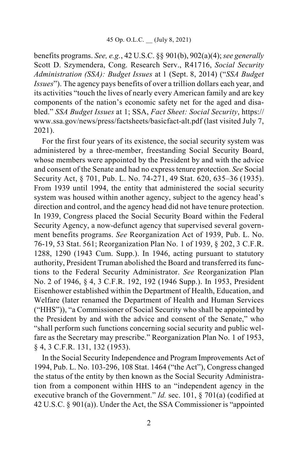benefits programs. *See, e.g.*, 42 U.S.C. §§ 901(b), 902(a)(4); *see generally*  Scott D. Szymendera, Cong. Research Serv., R41716, *Social Security Administration (SSA): Budget Issues* at 1 (Sept. 8, 2014) ("*SSA Budget Issues*"). The agency pays benefits of over a trillion dollars each year, and its activities "touch the lives of nearly every American family and are key components of the nation's economic safety net for the aged and disabled." *SSA Budget Issues* at 1; SSA, *Fact Sheet: Social Security*, [https://](https://www.ssa.gov/%E2%80%8Bnews/%E2%80%8Bpress) [www.ssa.gov/news/press/](https://www.ssa.gov/%E2%80%8Bnews/%E2%80%8Bpress)factsheets/basicfact-alt.pdf (last visited July 7, 2021).

For the first four years of its existence, the social security system was administered by a three-member, freestanding Social Security Board, whose members were appointed by the President by and with the advice and consent of the Senate and had no express tenure protection. *See* Social Security Act, § 701, Pub. L. No. 74-271, 49 Stat. 620, 635–36 (1935). From 1939 until 1994, the entity that administered the social security system was housed within another agency, subject to the agency head's direction and control, and the agency head did not have tenure protection. In 1939, Congress placed the Social Security Board within the Federal Security Agency, a now-defunct agency that supervised several government benefits programs. *See* Reorganization Act of 1939, Pub. L. No. 76-19, 53 Stat. 561; Reorganization Plan No. 1 of 1939, § 202, 3 C.F.R. 1288, 1290 (1943 Cum. Supp.). In 1946, acting pursuant to statutory authority, President Truman abolished the Board and transferred its functions to the Federal Security Administrator. *See* Reorganization Plan No. 2 of 1946, § 4, 3 C.F.R. 192, 192 (1946 Supp.). In 1953, President Eisenhower established within the Department of Health, Education, and Welfare (later renamed the Department of Health and Human Services ("HHS")), "a Commissioner of Social Security who shall be appointed by the President by and with the advice and consent of the Senate," who "shall perform such functions concerning social security and public welfare as the Secretary may prescribe." Reorganization Plan No. 1 of 1953, § 4, 3 C.F.R. 131, 132 (1953).

In the Social Security Independence and Program Improvements Act of 1994, Pub. L. No. 103-296, 108 Stat. 1464 ("the Act"), Congress changed the status of the entity by then known as the Social Security Administration from a component within HHS to an "independent agency in the executive branch of the Government." *Id.* sec. 101, § 701(a) (codified at 42 U.S.C. § 901(a)). Under the Act, the SSA Commissioner is "appointed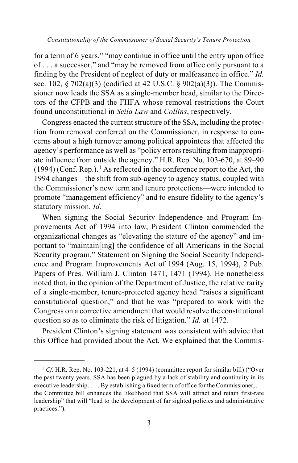for a term of 6 years," "may continue in office until the entry upon office of . . . a successor," and "may be removed from office only pursuant to a finding by the President of neglect of duty or malfeasance in office." *Id.*  sec. 102, § 702(a)(3) (codified at 42 U.S.C. § 902(a)(3)). The Commissioner now leads the SSA as a single-member head, similar to the Directors of the CFPB and the FHFA whose removal restrictions the Court found unconstitutional in *Seila Law* and *Collins*, respectively.

Congress enacted the current structure of the SSA, including the protection from removal conferred on the Commissioner, in response to concerns about a high turnover among political appointees that affected the agency's performance as well as "policy errors resulting from inappropriate influence from outside the agency." H.R. Rep. No. 103-670, at 89–90  $(1994)$  $(1994)$  $(1994)$  (Conf. Rep.).<sup>1</sup> As reflected in the conference report to the Act, the 1994 changes—the shift from sub-agency to agency status, coupled with the Commissioner's new term and tenure protections—were intended to promote "management efficiency" and to ensure fidelity to the agency's statutory mission. *Id.*

When signing the Social Security Independence and Program Improvements Act of 1994 into law, President Clinton commended the organizational changes as "elevating the stature of the agency" and important to "maintain[ing] the confidence of all Americans in the Social Security program." Statement on Signing the Social Security Independence and Program Improvements Act of 1994 (Aug. 15, 1994), 2 Pub. Papers of Pres. William J. Clinton 1471, 1471 (1994). He nonetheless noted that, in the opinion of the Department of Justice, the relative rarity of a single-member, tenure-protected agency head "raises a significant constitutional question," and that he was "prepared to work with the Congress on a corrective amendment that would resolve the constitutional question so as to eliminate the risk of litigation." *Id.* at 1472.

President Clinton's signing statement was consistent with advice that this Office had provided about the Act. We explained that the Commis-

<span id="page-2-0"></span> $1 \text{ } Cf$ . H.R. Rep. No. 103-221, at 4–5 (1994) (committee report for similar bill) ("Over the past twenty years, SSA has been plagued by a lack of stability and continuity in its executive leadership. . . . By establishing a fixed term of office for the Commissioner, . . . the Committee bill enhances the likelihood that SSA will attract and retain first-rate leadership" that will "lead to the development of far sighted policies and administrative practices.").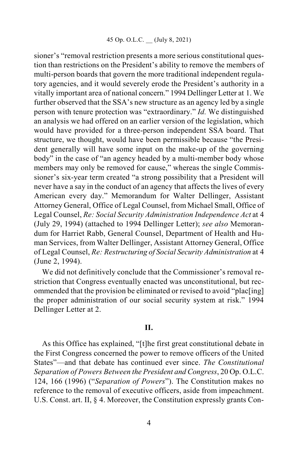sioner's "removal restriction presents a more serious constitutional question than restrictions on the President's ability to remove the members of multi-person boards that govern the more traditional independent regulatory agencies, and it would severely erode the President's authority in a vitally important area of national concern." 1994 Dellinger Letter at 1. We further observed that the SSA's new structure as an agency led by a single person with tenure protection was "extraordinary." *Id.* We distinguished an analysis we had offered on an earlier version of the legislation, which would have provided for a three-person independent SSA board. That structure, we thought, would have been permissible because "the President generally will have some input on the make-up of the governing body" in the case of "an agency headed by a multi-member body whose members may only be removed for cause," whereas the single Commissioner's six-year term created "a strong possibility that a President will never have a say in the conduct of an agency that affects the lives of every American every day." Memorandum for Walter Dellinger, Assistant Attorney General, Office of Legal Counsel, from Michael Small, Office of Legal Counsel, *Re: Social Security Administration Independence Act* at 4 (July 29, 1994) (attached to 1994 Dellinger Letter); *see also* Memorandum for Harriet Rabb, General Counsel, Department of Health and Human Services, from Walter Dellinger, Assistant Attorney General, Office of Legal Counsel, *Re: Restructuring of Social Security Administration* at 4 (June 2, 1994).

We did not definitively conclude that the Commissioner's removal restriction that Congress eventually enacted was unconstitutional, but recommended that the provision be eliminated or revised to avoid "plac[ing] the proper administration of our social security system at risk." 1994 Dellinger Letter at 2.

## **II.**

As this Office has explained, "[t]he first great constitutional debate in the First Congress concerned the power to remove officers of the United States"—and that debate has continued ever since. *The Constitutional Separation of Powers Between the President and Congress*, 20 Op. O.L.C. 124, 166 (1996) ("*Separation of Powers*"). The Constitution makes no reference to the removal of executive officers, aside from impeachment. U.S. Const. art. II, § 4. Moreover, the Constitution expressly grants Con-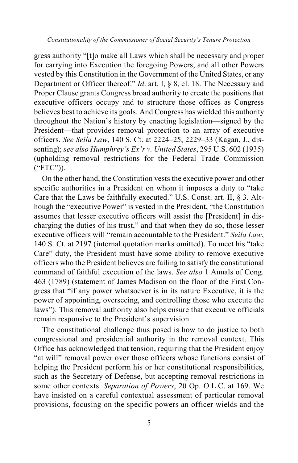gress authority "[t]o make all Laws which shall be necessary and proper for carrying into Execution the foregoing Powers, and all other Powers vested by this Constitution in the Government of the United States, or any Department or Officer thereof." *Id*. art. I, § 8, cl. 18. The Necessary and Proper Clause grants Congress broad authority to create the positions that executive officers occupy and to structure those offices as Congress believes best to achieve its goals. And Congress has wielded this authority throughout the Nation's history by enacting legislation—signed by the President—that provides removal protection to an array of executive officers. *See Seila Law*, 140 S. Ct. at 2224–25, 2229–33 (Kagan, J., dissenting); *see also Humphrey's Ex'r v. United States*, 295 U.S. 602 (1935) (upholding removal restrictions for the Federal Trade Commission ("FTC")).

On the other hand, the Constitution vests the executive power and other specific authorities in a President on whom it imposes a duty to "take Care that the Laws be faithfully executed." U.S. Const. art. II, § 3. Although the "executive Power" is vested in the President, "the Constitution assumes that lesser executive officers will assist the [President] in discharging the duties of his trust," and that when they do so, those lesser executive officers will "remain accountable to the President." *Seila Law*, 140 S. Ct. at 2197 (internal quotation marks omitted). To meet his "take Care" duty, the President must have some ability to remove executive officers who the President believes are failing to satisfy the constitutional command of faithful execution of the laws. *See also* 1 Annals of Cong. 463 (1789) (statement of James Madison on the floor of the First Congress that "if any power whatsoever is in its nature Executive, it is the power of appointing, overseeing, and controlling those who execute the laws"). This removal authority also helps ensure that executive officials remain responsive to the President's supervision.

The constitutional challenge thus posed is how to do justice to both congressional and presidential authority in the removal context. This Office has acknowledged that tension, requiring that the President enjoy "at will" removal power over those officers whose functions consist of helping the President perform his or her constitutional responsibilities, such as the Secretary of Defense, but accepting removal restrictions in some other contexts. *Separation of Powers*, 20 Op. O.L.C. at 169. We have insisted on a careful contextual assessment of particular removal provisions, focusing on the specific powers an officer wields and the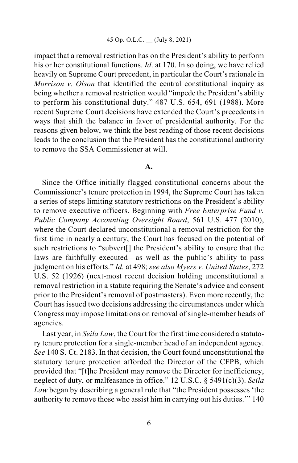impact that a removal restriction has on the President's ability to perform his or her constitutional functions. *Id*. at 170. In so doing, we have relied heavily on Supreme Court precedent, in particular the Court's rationale in *Morrison v. Olson* that identified the central constitutional inquiry as being whether a removal restriction would "impede the President's ability to perform his constitutional duty." 487 U.S. 654, 691 (1988). More recent Supreme Court decisions have extended the Court's precedents in ways that shift the balance in favor of presidential authority. For the reasons given below, we think the best reading of those recent decisions leads to the conclusion that the President has the constitutional authority to remove the SSA Commissioner at will.

#### **A.**

Since the Office initially flagged constitutional concerns about the Commissioner's tenure protection in 1994, the Supreme Court has taken a series of steps limiting statutory restrictions on the President's ability to remove executive officers. Beginning with *Free Enterprise Fund v. Public Company Accounting Oversight Board*, 561 U.S. 477 (2010), where the Court declared unconstitutional a removal restriction for the first time in nearly a century, the Court has focused on the potential of such restrictions to "subvert[] the President's ability to ensure that the laws are faithfully executed—as well as the public's ability to pass judgment on his efforts." *Id.* at 498; *see also Myers v. United States*, 272 U.S. 52 (1926) (next-most recent decision holding unconstitutional a removal restriction in a statute requiring the Senate's advice and consent prior to the President's removal of postmasters). Even more recently, the Court has issued two decisions addressing the circumstances under which Congress may impose limitations on removal of single-member heads of agencies.

Last year, in *Seila Law*, the Court for the first time considered a statutory tenure protection for a single-member head of an independent agency. *See* 140 S. Ct. 2183. In that decision, the Court found unconstitutional the statutory tenure protection afforded the Director of the CFPB, which provided that "[t]he President may remove the Director for inefficiency, neglect of duty, or malfeasance in office." 12 U.S.C. § 5491(c)(3). *Seila Law* began by describing a general rule that "the President possesses 'the authority to remove those who assist him in carrying out his duties.'" 140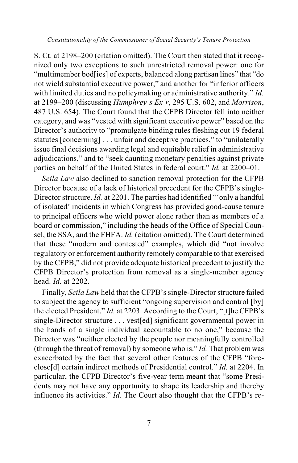*Constitutionality of the Commissioner of Social Security's Tenure Protection*

S. Ct. at 2198–200 (citation omitted). The Court then stated that it recognized only two exceptions to such unrestricted removal power: one for "multimember bod[ies] of experts, balanced along partisan lines" that "do not wield substantial executive power," and another for "inferior officers with limited duties and no policymaking or administrative authority." *Id.* at 2199–200 (discussing *Humphrey's Ex'r*, 295 U.S. 602, and *Morrison*, 487 U.S. 654). The Court found that the CFPB Director fell into neither category, and was "vested with significant executive power" based on the Director's authority to "promulgate binding rules fleshing out 19 federal statutes [concerning] . . . unfair and deceptive practices," to "unilaterally issue final decisions awarding legal and equitable relief in administrative adjudications," and to "seek daunting monetary penalties against private parties on behalf of the United States in federal court." *Id.* at 2200–01.

*Seila Law* also declined to sanction removal protection for the CFPB Director because of a lack of historical precedent for the CFPB's single-Director structure. *Id.* at 2201. The parties had identified "'only a handful of isolated' incidents in which Congress has provided good-cause tenure to principal officers who wield power alone rather than as members of a board or commission," including the heads of the Office of Special Counsel, the SSA, and the FHFA. *Id.* (citation omitted). The Court determined that these "modern and contested" examples, which did "not involve regulatory or enforcement authority remotely comparable to that exercised by the CFPB," did not provide adequate historical precedent to justify the CFPB Director's protection from removal as a single-member agency head. *Id.* at 2202.

Finally, *Seila Law* held that the CFPB's single-Director structure failed to subject the agency to sufficient "ongoing supervision and control [by] the elected President." *Id.* at 2203. According to the Court, "[t]he CFPB's single-Director structure . . . vest[ed] significant governmental power in the hands of a single individual accountable to no one," because the Director was "neither elected by the people nor meaningfully controlled (through the threat of removal) by someone who is." *Id.* That problem was exacerbated by the fact that several other features of the CFPB "foreclose[d] certain indirect methods of Presidential control." *Id.* at 2204. In particular, the CFPB Director's five-year term meant that "some Presidents may not have any opportunity to shape its leadership and thereby influence its activities." *Id.* The Court also thought that the CFPB's re-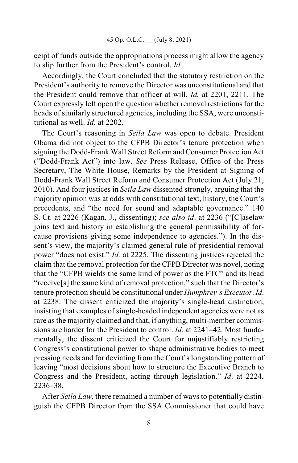ceipt of funds outside the appropriations process might allow the agency to slip further from the President's control. *Id.*

Accordingly, the Court concluded that the statutory restriction on the President's authority to remove the Director was unconstitutional and that the President could remove that officer at will. *Id.* at 2201, 2211. The Court expressly left open the question whether removal restrictions for the heads of similarly structured agencies, including the SSA, were unconstitutional as well. *Id.* at 2202.

The Court's reasoning in *Seila Law* was open to debate. President Obama did not object to the CFPB Director's tenure protection when signing the Dodd-Frank Wall Street Reform and Consumer Protection Act ("Dodd-Frank Act") into law. *See* Press Release, Office of the Press Secretary, The White House, Remarks by the President at Signing of Dodd-Frank Wall Street Reform and Consumer Protection Act (July 21, 2010). And four justices in *Seila Law* dissented strongly, arguing that the majority opinion was at odds with constitutional text, history, the Court's precedents, and "the need for sound and adaptable governance." 140 S. Ct. at 2226 (Kagan, J., dissenting); *see also id*. at 2236 ("[C]aselaw joins text and history in establishing the general permissibility of forcause provisions giving some independence to agencies."). In the dissent's view, the majority's claimed general rule of presidential removal power "does not exist." *Id.* at 2225. The dissenting justices rejected the claim that the removal protection for the CFPB Director was novel, noting that the "CFPB wields the same kind of power as the FTC" and its head "receive[s] the same kind of removal protection," such that the Director's tenure protection should be constitutional under *Humphrey's Executor*. *Id*. at 2238. The dissent criticized the majority's single-head distinction, insisting that examples of single-headed independent agencies were not as rare as the majority claimed and that, if anything, multi-member commissions are harder for the President to control. *Id.* at 2241–42. Most fundamentally, the dissent criticized the Court for unjustifiably restricting Congress's constitutional power to shape administrative bodies to meet pressing needs and for deviating from the Court's longstanding pattern of leaving "most decisions about how to structure the Executive Branch to Congress and the President, acting through legislation." *Id*. at 2224, 2236–38.

After *Seila Law*, there remained a number of ways to potentially distinguish the CFPB Director from the SSA Commissioner that could have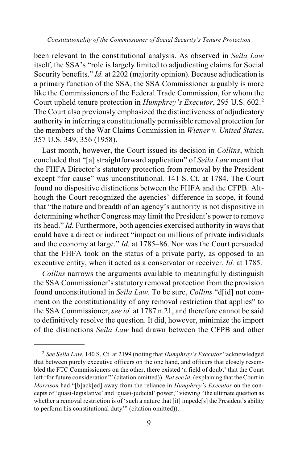been relevant to the constitutional analysis. As observed in *Seila Law* itself, the SSA's "role is largely limited to adjudicating claims for Social Security benefits." *Id.* at 2202 (majority opinion). Because adjudication is a primary function of the SSA, the SSA Commissioner arguably is more like the Commissioners of the Federal Trade Commission, for whom the Court upheld tenure protection in *Humphrey's Executor*, 295 U.S. 602.[2](#page-8-0) The Court also previously emphasized the distinctiveness of adjudicatory authority in inferring a constitutionally permissible removal protection for the members of the War Claims Commission in *Wiener v. United States*, 357 U.S. 349, 356 (1958).

Last month, however, the Court issued its decision in *Collins*, which concluded that "[a] straightforward application" of *Seila Law* meant that the FHFA Director's statutory protection from removal by the President except "for cause" was unconstitutional. 141 S. Ct. at 1784. The Court found no dispositive distinctions between the FHFA and the CFPB. Although the Court recognized the agencies' difference in scope, it found that "the nature and breadth of an agency's authority is not dispositive in determining whether Congress may limit the President's power to remove its head." *Id.* Furthermore, both agencies exercised authority in ways that could have a direct or indirect "impact on millions of private individuals and the economy at large." *Id.* at 1785–86. Nor was the Court persuaded that the FHFA took on the status of a private party, as opposed to an executive entity, when it acted as a conservator or receiver. *Id.* at 1785.

*Collins* narrows the arguments available to meaningfully distinguish the SSA Commissioner's statutory removal protection from the provision found unconstitutional in *Seila Law*. To be sure, *Collins* "d[id] not comment on the constitutionality of any removal restriction that applies" to the SSA Commissioner, *see id.* at 1787 n.21, and therefore cannot be said to definitively resolve the question. It did, however, minimize the import of the distinctions *Seila Law* had drawn between the CFPB and other

<span id="page-8-0"></span> <sup>2</sup> *See Seila Law*, 140 S. Ct. at 2199 (noting that *Humphrey's Executor* "acknowledged that between purely executive officers on the one hand, and officers that closely resembled the FTC Commissioners on the other, there existed 'a field of doubt' that the Court left 'for future consideration'" (citation omitted)). *But see id.* (explaining that the Court in *Morrison* had "[b]ack[ed] away from the reliance in *Humphrey's Executor* on the concepts of 'quasi-legislative' and 'quasi-judicial' power," viewing "the ultimate question as whether a removal restriction is of 'such a nature that [it] impede[s] the President's ability to perform his constitutional duty'" (citation omitted)).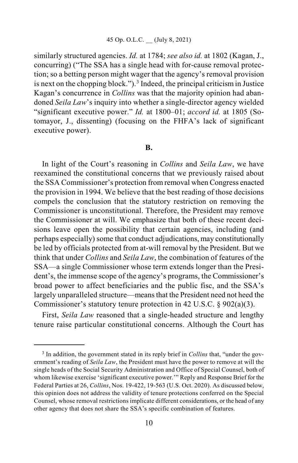similarly structured agencies. *Id.* at 1784; *see also id.* at 1802 (Kagan, J., concurring) ("The SSA has a single head with for-cause removal protection; so a betting person might wager that the agency's removal provision is next on the chopping block.").<sup>[3](#page-9-0)</sup> Indeed, the principal criticism in Justice Kagan's concurrence in *Collins* was that the majority opinion had abandoned *Seila Law*'s inquiry into whether a single-director agency wielded "significant executive power." *Id.* at 1800–01; *accord id.* at 1805 (Sotomayor, J., dissenting) (focusing on the FHFA's lack of significant executive power).

### **B.**

In light of the Court's reasoning in *Collins* and *Seila Law*, we have reexamined the constitutional concerns that we previously raised about the SSA Commissioner's protection from removal when Congress enacted the provision in 1994. We believe that the best reading of those decisions compels the conclusion that the statutory restriction on removing the Commissioner is unconstitutional. Therefore, the President may remove the Commissioner at will. We emphasize that both of these recent decisions leave open the possibility that certain agencies, including (and perhaps especially) some that conduct adjudications, may constitutionally be led by officials protected from at-will removal by the President. But we think that under *Collins* and *Seila Law*, the combination of features of the SSA—a single Commissioner whose term extends longer than the President's, the immense scope of the agency's programs, the Commissioner's broad power to affect beneficiaries and the public fisc, and the SSA's largely unparalleled structure—meansthat the President need not heed the Commissioner's statutory tenure protection in 42 U.S.C. § 902(a)(3).

First, *Seila Law* reasoned that a single-headed structure and lengthy tenure raise particular constitutional concerns. Although the Court has

<span id="page-9-0"></span> <sup>3</sup> In addition, the government stated in its reply brief in *Collins* that, "under the government's reading of *Seila Law*, the President must have the power to remove at will the single heads of the Social Security Administration and Office of Special Counsel, both of whom likewise exercise 'significant executive power.'" Reply and Response Brief for the Federal Parties at 26, *Collins*, Nos. 19-422, 19-563 (U.S. Oct. 2020). As discussed below, this opinion does not address the validity of tenure protections conferred on the Special Counsel, whose removal restrictions implicate different considerations, or the head of any other agency that does not share the SSA's specific combination of features.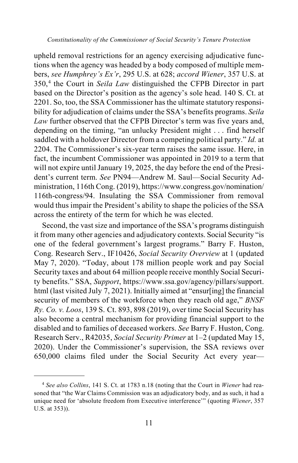upheld removal restrictions for an agency exercising adjudicative functions when the agency was headed by a body composed of multiple members, *see Humphrey's Ex'r*, 295 U.S. at 628; *accord Wiener*, 357 U.S. at 350,[4](#page-10-0) the Court in *Seila Law* distinguished the CFPB Director in part based on the Director's position as the agency's sole head. 140 S. Ct. at 2201. So, too, the SSA Commissioner has the ultimate statutory responsibility for adjudication of claims under the SSA's benefits programs. *Seila Law* further observed that the CFPB Director's term was five years and, depending on the timing, "an unlucky President might . . . find herself saddled with a holdover Director from a competing political party." *Id.* at 2204. The Commissioner's six-year term raises the same issue. Here, in fact, the incumbent Commissioner was appointed in 2019 to a term that will not expire until January 19, 2025, the day before the end of the President's current term. *See* PN94—Andrew M. Saul—Social Security Administration, 116th Cong. (2019)[, https://www.congress.gov/](https://www.congress.gov/)nomination/ 116th-congress/94. Insulating the SSA Commissioner from removal would thus impair the President's ability to shape the policies of the SSA across the entirety of the term for which he was elected.

Second, the vast size and importance of the SSA's programs distinguish it from many other agencies and adjudicatory contexts. Social Security "is one of the federal government's largest programs." Barry F. Huston, Cong. Research Serv., IF10426, *Social Security Overview* at 1 (updated May 7, 2020). "Today, about 178 million people work and pay Social Security taxes and about 64 million people receive monthly Social Security benefits." SSA, *Support*, https://www.ssa.gov/agency/pillars/support. html (last visited July 7, 2021). Initially aimed at "ensur[ing] the financial security of members of the workforce when they reach old age," *BNSF Ry. Co. v. Loos*, 139 S. Ct. 893, 898 (2019), over time Social Security has also become a central mechanism for providing financial support to the disabled and to families of deceased workers. *See* Barry F. Huston, Cong. Research Serv., R42035, *Social Security Primer* at 1–2 (updated May 15, 2020). Under the Commissioner's supervision, the SSA reviews over 650,000 claims filed under the Social Security Act every year—

<span id="page-10-0"></span> <sup>4</sup> *See also Collins*, 141 S. Ct. at 1783 n.18 (noting that the Court in *Wiener* had reasoned that "the War Claims Commission was an adjudicatory body, and as such, it had a unique need for 'absolute freedom from Executive interference'" (quoting *Wiener*, 357 U.S. at 353)).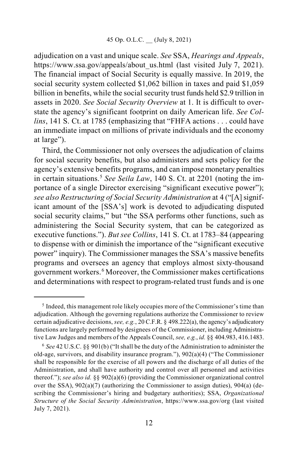adjudication on a vast and unique scale. *See* SSA, *Hearings and Appeals*, https://www.ssa.gov/appeals/about\_us.html (last visited July 7, 2021). The financial impact of Social Security is equally massive. In 2019, the social security system collected \$1,062 billion in taxes and paid \$1,059 billion in benefits, while the social security trust funds held \$2.9 trillion in assets in 2020. *See Social Security Overview* at 1. It is difficult to overstate the agency's significant footprint on daily American life. *See Collins*, 141 S. Ct. at 1785 (emphasizing that "FHFA actions . . . could have an immediate impact on millions of private individuals and the economy at large").

Third, the Commissioner not only oversees the adjudication of claims for social security benefits, but also administers and sets policy for the agency's extensive benefits programs, and can impose monetary penalties in certain situations. [5](#page-11-0) *See Seila Law*, 140 S. Ct. at 2201 (noting the importance of a single Director exercising "significant executive power"); *see also Restructuring of Social Security Administration* at 4 ("[A]significant amount of the [SSA's] work is devoted to adjudicating disputed social security claims," but "the SSA performs other functions, such as administering the Social Security system, that can be categorized as executive functions."). *But see Collins*, 141 S. Ct. at 1783–84 (appearing to dispense with or diminish the importance of the "significant executive power" inquiry). The Commissioner manages the SSA's massive benefits programs and oversees an agency that employs almost sixty-thousand government workers. [6](#page-11-1) Moreover, the Commissioner makes certifications and determinations with respect to program-related trust funds and is one

<span id="page-11-0"></span> <sup>5</sup> Indeed, this management role likely occupies more of the Commissioner's time than adjudication. Although the governing regulations authorize the Commissioner to review certain adjudicative decisions, *see, e.g.*, 20 C.F.R. § 498.222(a), the agency's adjudicatory functions are largely performed by designees of the Commissioner, including Administrative Law Judges and members of the Appeals Council, *see, e.g.*, *id.* §§ 404.983, 416.1483.

<span id="page-11-1"></span><sup>6</sup> *See* 42 U.S.C. §§ 901(b) ("It shall be the duty of the Administration to administer the old-age, survivors, and disability insurance program."), 902(a)(4) ("The Commissioner shall be responsible for the exercise of all powers and the discharge of all duties of the Administration, and shall have authority and control over all personnel and activities thereof."); *see also id.* §§ 902(a)(6) (providing the Commissioner organizational control over the SSA),  $902(a)(7)$  (authorizing the Commissioner to assign duties),  $904(a)$  (describing the Commissioner's hiring and budgetary authorities); SSA, *Organizational Structure of the Social Security Administration*, https://www.ssa.gov/org (last visited July 7, 2021).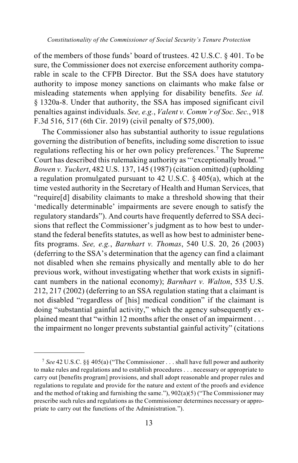of the members of those funds' board of trustees. 42 U.S.C. § 401. To be sure, the Commissioner does not exercise enforcement authority comparable in scale to the CFPB Director. But the SSA does have statutory authority to impose money sanctions on claimants who make false or misleading statements when applying for disability benefits. *See id.* § 1320a-8. Under that authority, the SSA has imposed significant civil penalties against individuals. *See, e.g.*, *Valent v. Comm'r of Soc. Sec.*, 918 F.3d 516, 517 (6th Cir. 2019) (civil penalty of \$75,000).

The Commissioner also has substantial authority to issue regulations governing the distribution of benefits, including some discretion to issue regulations reflecting his or her own policy preferences. [7](#page-12-0) The Supreme Court has described this rulemaking authority as "'exceptionally broad.'" *Bowen v. Yuckert*, 482 U.S. 137, 145 (1987) (citation omitted) (upholding a regulation promulgated pursuant to 42 U.S.C. § 405(a), which at the time vested authority in the Secretary of Health and Human Services, that "require[d] disability claimants to make a threshold showing that their 'medically determinable' impairments are severe enough to satisfy the regulatory standards"). And courts have frequently deferred to SSA decisions that reflect the Commissioner's judgment as to how best to understand the federal benefits statutes, as well as how best to administer benefits programs. *See, e.g.*, *Barnhart v. Thomas*, 540 U.S. 20, 26 (2003) (deferring to the SSA's determination that the agency can find a claimant not disabled when she remains physically and mentally able to do her previous work, without investigating whether that work exists in significant numbers in the national economy); *Barnhart v. Walton*, 535 U.S. 212, 217 (2002) (deferring to an SSA regulation stating that a claimant is not disabled "regardless of [his] medical condition" if the claimant is doing "substantial gainful activity," which the agency subsequently explained meant that "within 12 months after the onset of an impairment . . . the impairment no longer prevents substantial gainful activity" (citations

<span id="page-12-0"></span> <sup>7</sup> *See* 42 U.S.C. §§ 405(a) ("The Commissioner . . . shall have full power and authority to make rules and regulations and to establish procedures . . . necessary or appropriate to carry out [benefits program] provisions, and shall adopt reasonable and proper rules and regulations to regulate and provide for the nature and extent of the proofs and evidence and the method of taking and furnishing the same."),  $902(a)(5)$  ("The Commissioner may prescribe such rules and regulations as the Commissioner determines necessary or appropriate to carry out the functions of the Administration.").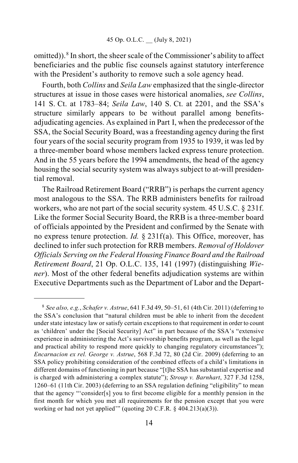omitted)). [8](#page-13-0) In short, the sheer scale of the Commissioner's ability to affect beneficiaries and the public fisc counsels against statutory interference with the President's authority to remove such a sole agency head.

Fourth, both *Collins* and *Seila Law* emphasized that the single-director structures at issue in those cases were historical anomalies, *see Collins*, 141 S. Ct. at 1783–84; *Seila Law*, 140 S. Ct. at 2201, and the SSA's structure similarly appears to be without parallel among benefitsadjudicating agencies. As explained in Part I, when the predecessor of the SSA, the Social Security Board, was a freestanding agency during the first four years of the social security program from 1935 to 1939, it was led by a three-member board whose members lacked express tenure protection. And in the 55 years before the 1994 amendments, the head of the agency housing the social security system was always subject to at-will presidential removal.

The Railroad Retirement Board ("RRB") is perhaps the current agency most analogous to the SSA. The RRB administers benefits for railroad workers, who are not part of the social security system. 45 U.S.C. § 231f. Like the former Social Security Board, the RRB is a three-member board of officials appointed by the President and confirmed by the Senate with no express tenure protection. *Id.* § 231f(a). This Office, moreover, has declined to infer such protection for RRB members. *Removal of Holdover Officials Serving on the Federal Housing Finance Board and the Railroad Retirement Board*, 21 Op. O.L.C. 135, 141 (1997) (distinguishing *Wiener*). Most of the other federal benefits adjudication systems are within Executive Departments such as the Department of Labor and the Depart-

<span id="page-13-0"></span> <sup>8</sup> *See also, e.g.*, *Schafer v. Astrue*, 641 F.3d 49, 50–51, 61 (4th Cir. 2011) (deferring to the SSA's conclusion that "natural children must be able to inherit from the decedent under state intestacy law or satisfy certain exceptions to that requirement in order to count as 'children' under the [Social Security] Act" in part because of the SSA's "extensive experience in administering the Act's survivorship benefits program, as well as the legal and practical ability to respond more quickly to changing regulatory circumstances"); *Encarnacion ex rel. George v. Astrue*, 568 F.3d 72, 80 (2d Cir. 2009) (deferring to an SSA policy prohibiting consideration of the combined effects of a child's limitations in different domains of functioning in part because "[t]he SSA has substantial expertise and is charged with administering a complex statute"); *Stroup v. Barnhart*, 327 F.3d 1258, 1260–61 (11th Cir. 2003) (deferring to an SSA regulation defining "eligibility" to mean that the agency "'consider[s] you to first become eligible for a monthly pension in the first month for which you met all requirements for the pension except that you were working or had not yet applied'" (quoting 20 C.F.R. § 404.213(a)(3)).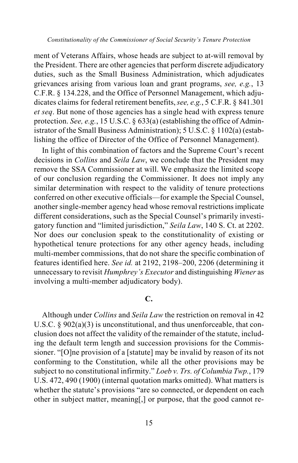ment of Veterans Affairs, whose heads are subject to at-will removal by the President. There are other agencies that perform discrete adjudicatory duties, such as the Small Business Administration, which adjudicates grievances arising from various loan and grant programs, *see, e.g.*, 13 C.F.R. § 134.228, and the Office of Personnel Management, which adjudicates claims for federal retirement benefits, *see, e.g.*, 5 C.F.R. § 841.301 *et seq*. But none of those agencies has a single head with express tenure protection. *See, e.g.*, 15 U.S.C. § 633(a) (establishing the office of Administrator of the Small Business Administration); 5 U.S.C. § 1102(a) (establishing the office of Director of the Office of Personnel Management).

In light of this combination of factors and the Supreme Court's recent decisions in *Collins* and *Seila Law*, we conclude that the President may remove the SSA Commissioner at will. We emphasize the limited scope of our conclusion regarding the Commissioner. It does not imply any similar determination with respect to the validity of tenure protections conferred on other executive officials—for example the Special Counsel, another single-member agency head whose removal restrictions implicate different considerations, such as the Special Counsel's primarily investigatory function and "limited jurisdiction," *Seila Law*, 140 S. Ct. at 2202. Nor does our conclusion speak to the constitutionality of existing or hypothetical tenure protections for any other agency heads, including multi-member commissions, that do not share the specific combination of features identified here. *See id.* at 2192, 2198–200, 2206 (determining it unnecessary to revisit *Humphrey's Executor* and distinguishing *Wiener* as involving a multi-member adjudicatory body).

# **C.**

Although under *Collins* and *Seila Law* the restriction on removal in 42 U.S.C.  $\S 902(a)(3)$  is unconstitutional, and thus unenforceable, that conclusion does not affect the validity of the remainder of the statute, including the default term length and succession provisions for the Commissioner. "[O]ne provision of a [statute] may be invalid by reason of its not conforming to the Constitution, while all the other provisions may be subject to no constitutional infirmity." *Loeb v. Trs. of Columbia Twp.*, 179 U.S. 472, 490 (1900) (internal quotation marks omitted). What matters is whether the statute's provisions "are so connected, or dependent on each other in subject matter, meaning[,] or purpose, that the good cannot re-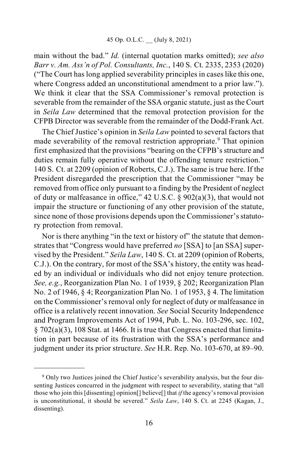main without the bad." *Id.* (internal quotation marks omitted); *see also Barr v. Am. Ass'n of Pol. Consultants, Inc.*, 140 S. Ct. 2335, 2353 (2020) ("The Court has long applied severability principles in cases like this one, where Congress added an unconstitutional amendment to a prior law."). We think it clear that the SSA Commissioner's removal protection is severable from the remainder of the SSA organic statute, just as the Court in *Seila Law* determined that the removal protection provision for the CFPB Director was severable from the remainder of the Dodd-Frank Act.

The Chief Justice's opinion in *Seila Law* pointed to several factors that made severability of the removal restriction appropriate.<sup>[9](#page-15-0)</sup> That opinion first emphasized that the provisions "bearing on the CFPB's structure and duties remain fully operative without the offending tenure restriction." 140 S. Ct. at 2209 (opinion of Roberts, C.J.). The same is true here. If the President disregarded the prescription that the Commissioner "may be removed from office only pursuant to a finding by the President of neglect of duty or malfeasance in office," 42 U.S.C. § 902(a)(3), that would not impair the structure or functioning of any other provision of the statute, since none of those provisions depends upon the Commissioner's statutory protection from removal.

Nor is there anything "in the text or history of" the statute that demonstrates that "Congress would have preferred *no* [SSA] to [an SSA] supervised by the President." *Seila Law*, 140 S. Ct. at 2209 (opinion of Roberts, C.J.). On the contrary, for most of the SSA's history, the entity was headed by an individual or individuals who did not enjoy tenure protection. *See, e.g.*, Reorganization Plan No. 1 of 1939, § 202; Reorganization Plan No. 2 of 1946, § 4; Reorganization Plan No. 1 of 1953, § 4. The limitation on the Commissioner's removal only for neglect of duty or malfeasance in office is a relatively recent innovation. *See* Social Security Independence and Program Improvements Act of 1994, Pub. L. No. 103-296, sec. 102,  $\S$  702(a)(3), 108 Stat. at 1466. It is true that Congress enacted that limitation in part because of its frustration with the SSA's performance and judgment under its prior structure. *See* H.R. Rep. No. 103-670, at 89–90.

<span id="page-15-0"></span><sup>&</sup>lt;sup>9</sup> Only two Justices joined the Chief Justice's severability analysis, but the four dissenting Justices concurred in the judgment with respect to severability, stating that "all those who join this [dissenting] opinion[] believe[] that *if* the agency's removal provision is unconstitutional, it should be severed." *Seila Law*, 140 S. Ct. at 2245 (Kagan, J., dissenting).